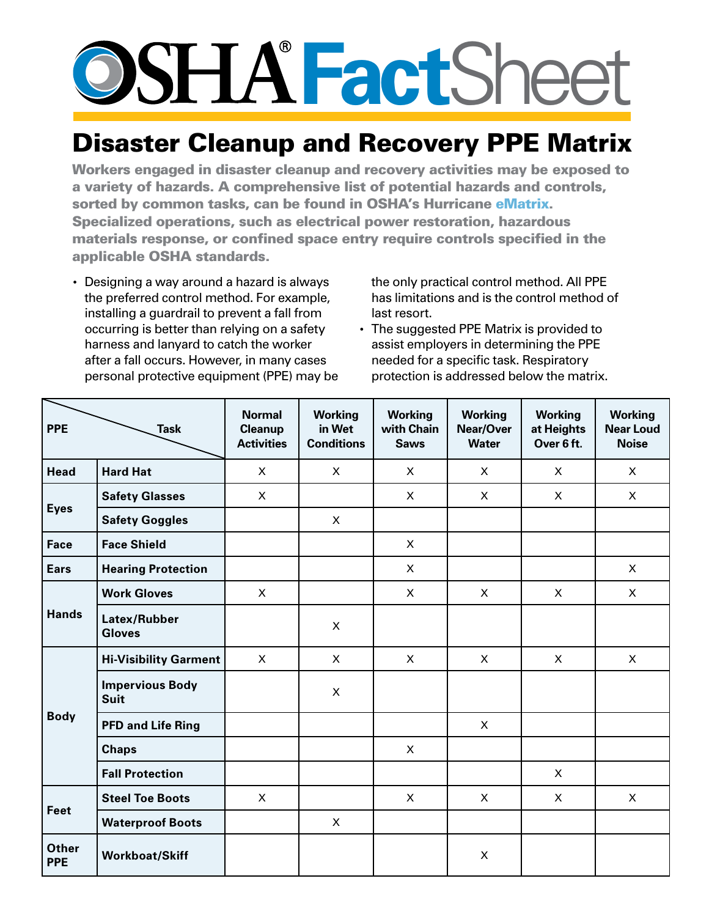## **Fact**Sheet

## Disaster Cleanup and Recovery PPE Matrix

Workers engaged in disaster cleanup and recovery activities may be exposed to a variety of hazards. A comprehensive list of potential hazards and controls, sorted by common tasks, can be found in OSHA's Hurricane [eMatrix.](http://www.osha.gov/SLTC/etools/hurricane/index.html) Specialized operations, such as electrical power restoration, hazardous materials response, or confined space entry require controls specified in the applicable OSHA standards.

• Designing a way around a hazard is always the preferred control method. For example, installing a guardrail to prevent a fall from occurring is better than relying on a safety harness and lanyard to catch the worker after a fall occurs. However, in many cases personal protective equipment (PPE) may be the only practical control method. All PPE has limitations and is the control method of last resort.

• The suggested PPE Matrix is provided to assist employers in determining the PPE needed for a specific task. Respiratory protection is addressed below the matrix.

| <b>PPE</b><br><b>Task</b>  |                                       | <b>Normal</b><br><b>Cleanup</b><br><b>Activities</b> | <b>Working</b><br>in Wet<br><b>Conditions</b> | <b>Working</b><br>with Chain<br><b>Saws</b> | <b>Working</b><br>Near/Over<br><b>Water</b> | <b>Working</b><br>at Heights<br>Over 6 ft. | <b>Working</b><br><b>Near Loud</b><br><b>Noise</b> |
|----------------------------|---------------------------------------|------------------------------------------------------|-----------------------------------------------|---------------------------------------------|---------------------------------------------|--------------------------------------------|----------------------------------------------------|
| <b>Head</b>                | <b>Hard Hat</b>                       | $\mathsf{X}$                                         | $\mathsf{X}$                                  | $\mathsf{X}$                                | $\mathsf{X}$                                | $\mathsf{X}$                               | X                                                  |
| <b>Eyes</b>                | <b>Safety Glasses</b>                 | $\pmb{\times}$                                       |                                               | $\mathsf{X}$                                | $\pmb{\times}$                              | $\mathsf{X}$                               | $\pmb{\times}$                                     |
|                            | <b>Safety Goggles</b>                 |                                                      | $\mathsf{X}$                                  |                                             |                                             |                                            |                                                    |
| <b>Face</b>                | <b>Face Shield</b>                    |                                                      |                                               | X                                           |                                             |                                            |                                                    |
| <b>Ears</b>                | <b>Hearing Protection</b>             |                                                      |                                               | X                                           |                                             |                                            | X                                                  |
| <b>Hands</b>               | <b>Work Gloves</b>                    | $\mathsf{X}$                                         |                                               | $\mathsf{X}$                                | $\mathsf{X}$                                | $\mathsf{X}$                               | $\mathsf{X}$                                       |
|                            | Latex/Rubber<br><b>Gloves</b>         |                                                      | X                                             |                                             |                                             |                                            |                                                    |
| <b>Body</b>                | <b>Hi-Visibility Garment</b>          | X                                                    | X                                             | X                                           | X                                           | X                                          | X                                                  |
|                            | <b>Impervious Body</b><br><b>Suit</b> |                                                      | $\mathsf{X}$                                  |                                             |                                             |                                            |                                                    |
|                            | <b>PFD and Life Ring</b>              |                                                      |                                               |                                             | $\pmb{\times}$                              |                                            |                                                    |
|                            | <b>Chaps</b>                          |                                                      |                                               | X                                           |                                             |                                            |                                                    |
|                            | <b>Fall Protection</b>                |                                                      |                                               |                                             |                                             | $\mathsf{X}$                               |                                                    |
| Feet                       | <b>Steel Toe Boots</b>                | $\pmb{\times}$                                       |                                               | X                                           | X                                           | $\mathsf{X}$                               | $\mathsf{X}$                                       |
|                            | <b>Waterproof Boots</b>               |                                                      | $\mathsf{X}$                                  |                                             |                                             |                                            |                                                    |
| <b>Other</b><br><b>PPE</b> | <b>Workboat/Skiff</b>                 |                                                      |                                               |                                             | $\mathsf{X}$                                |                                            |                                                    |